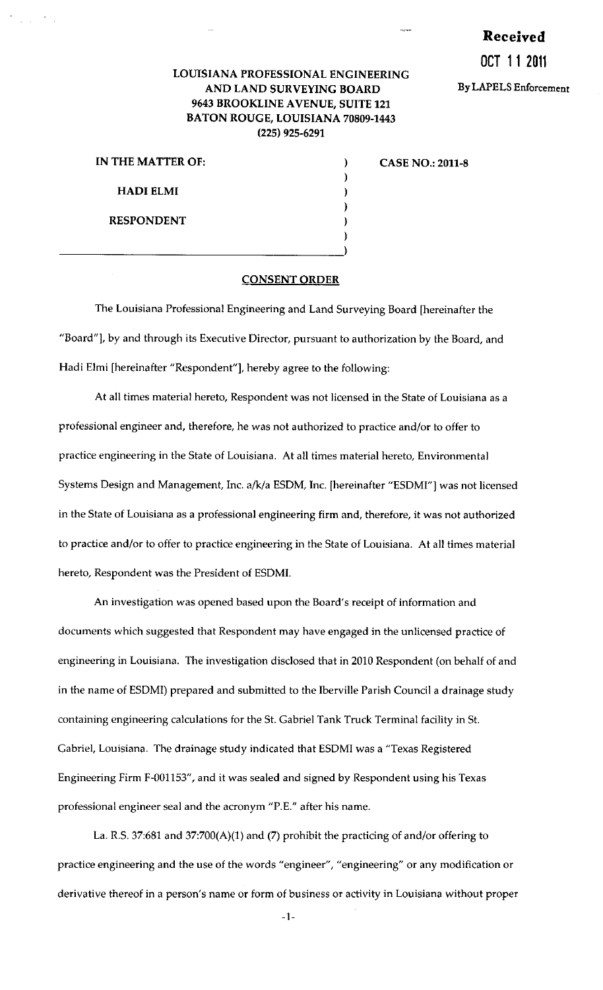## **Received**

## **OCT 11 2011**

## LOUISIANA PROFESSIONAL ENGINEERING AND LAND SURVEYING BOARD By LAPELS Enforcement 9643 BROOKLINE AVENUE, SUITE 121 BATON ROUGE, LOUISIANA 70809-1443 (225) 925-6291

| IN THE MATTER OF: |  |
|-------------------|--|
|                   |  |
| <b>HADI ELMI</b>  |  |
|                   |  |
| <b>RESPONDENT</b> |  |
|                   |  |
|                   |  |

CASE NO.: 2011-8

## CONSENT ORDER

The Louisiana Professional Engineering and Land Surveying Board [hereinafter the "Board"], by and through its Executive Director, pursuant to authorization by the Board, and Hadi Elmi [hereinafter "Respondent"], hereby agree to the following:

At all times material hereto, Respondent was not licensed in the State of Louisiana as a professional engineer and, therefore, he was not authorized to practice and/or to offer to practice engineering in the State of Louisiana. At all times material hereto, Environmental Systems Design and Management, Inc. a/k/a ESDM, Inc. [hereinafter "ESDMI"] was not licensed in the State of Louisiana as a professional engineering firm and, therefore, it was not authorized to practice and/or to offer to practice engineering in the State of Louisiana. At all times material hereto, Respondent was the President of ESOMI.

An investigation was opened based upon the Board's receipt of information and documents which suggested that Respondent may have engaged in the unlicensed practice of engineering in Louisiana. The investigation disclosed that in 2010 Respondent (on behalf of and in the name of ESDMI) prepared and submitted to the lberville Parish Council a drainage study containing engineering calculations for the St. Gabriel Tank Truck Terminal facility in St. Gabriel, Louisiana. The drainage study indicated that ESDMI was a "Texas Registered Engineering Firm F-001153", and it was sealed and signed by Respondent using his Texas professional engineer seal and the acronym "P.E." after his name.

La. R.S. 37:681 and 37:700(A)(1) and (7) prohibit the practicing of and/or offering to practice engineering and the use of the words "engineer", "engineering" or any modification or derivative thereof in a person's name or form of business or activity in Louisiana without proper

-1-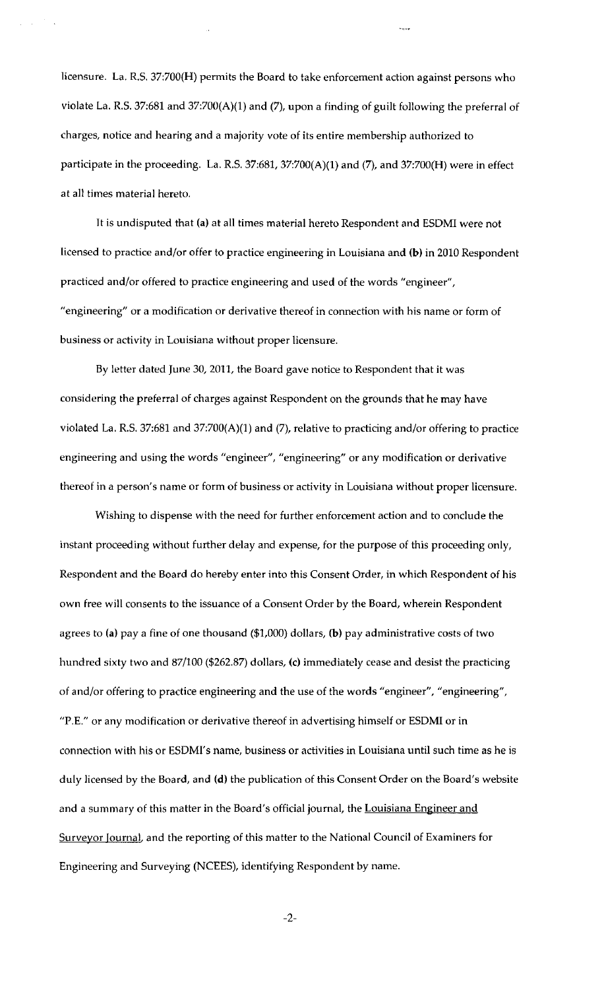licensure. La. R.S. 37:700(H) permits the Board to take enforcement action against persons who violate La. R.S. 37:681 and 37:700(A)(1) and (7), upon a finding of guilt following the preferral of charges, notice and hearing and a majority vote of its entire membership authorized to participate in the proceeding. La. R.S. 37:681, 37:700(A)(1) and (7), and 37:700(H) were in effect at all times material hereto.

It is undisputed that (a) at all times material hereto Respondent and ESDMI were not licensed to practice and/or offer to practice engineering in Louisiana and (b) in 2010 Respondent practiced and/or offered to practice engineering and used of the words "engineer", "engineering" or a modification or derivative thereof in connection with his name or form of business or activity in Louisiana without proper licensure.

By letter dated June 30, 2011, the Board gave notice to Respondent that it was considering the preferral of charges against Respondent on the grounds that he may have violated La. R.S. 37:681 and 37:700(A)(1) and (7), relative to practicing and/or offering to practice engineering and using the words "engineer", "engineering" or any modification or derivative thereof in a person's name or form of business or activity in Louisiana without proper licensure.

Wishing to dispense with the need for further enforcement action and to conclude the instant proceeding without further delay and expense, for the purpose of this proceeding only, Respondent and the Board do hereby enter into this Consent Order, in which Respondent of his own free will consents to the issuance of a Consent Order by the Board, wherein Respondent agrees to (a) pay a fine of one thousand (\$1,000) dollars, (b) pay administrative costs of two hundred sixty two and 87/100 (\$262.87) dollars, (c) immediately cease and desist the practicing of and/or offering to practice engineering and the use of the words "engineer", "engineering", "P.E." or any modification or derivative thereof in advertising himself or ESOMI or in connection with his or ESDMI's name, business or activities in Louisiana until such time as he is duly licensed by the Board, and (d) the publication of this Consent Order on the Board's website and a summary of this matter in the Board's official journal, the Louisiana Engineer and Surveyor Journal, and the reporting of this matter to the National Council of Examiners for Engineering and Surveying (NCEES), identifying Respondent by name.

-2-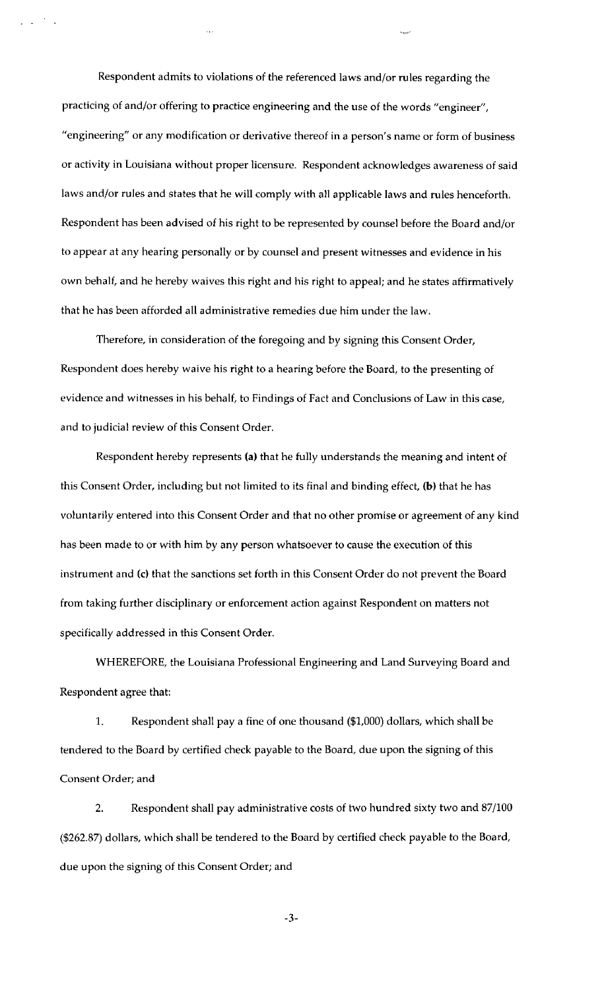Respondent admits to violations of the referenced laws and/or rules regarding the practicing of and/or offering to practice engineering and the use of the words "engineer", "engineering" or any modification or derivative thereof in a person's name or form of business or activity in Louisiana without proper licensure. Respondent acknowledges awareness of said laws and/or rules and states that he will comply with all applicable laws and rules henceforth. Respondent has been advised of his right to be represented by counsel before the Board and/or to appear at any hearing personally or by counsel and present witnesses and evidence in his own behalf, and he hereby waives this right and his right to appeal; and he states affirmatively that he has been afforded all administrative remedies due him under the law.

Therefore, in consideration of the foregoing and by signing this Consent Order, Respondent does hereby waive his right to a hearing before the Board, to the presenting of evidence and witnesses in his behalf, to Findings of Fact and Conclusions of Law in this case, and to judicial review of this Consent Order.

Respondent hereby represents (a) that he fully understands the meaning and intent of this Consent Order, including but not limited to its final and binding effect, (b) that he has voluntarily entered into this Consent Order and that no other promise or agreement of any kind has been made to or with him by any person whatsoever to cause the execution of this instrument and (c) that the sanctions set forth in this Consent Order do not prevent the Board from taking further disciplinary or enforcement action against Respondent on matters not specifically addressed in this Consent Order.

WHEREFORE, the Louisiana Professional Engineering and Land Surveying Board and Respondent agree that:

1. Respondent shall pay a fine of one thousand (\$1,000) dollars, which shall be tendered to the Board by certified check payable to the Board, due upon the signing of this Consent Order; and

2. Respondent shall pay administrative costs of two hundred sixty two and 87/100 (\$262.87) dollars, which shall be tendered to the Board by certified check payable to the Board, due upon the signing of this Consent Order; and

-3-